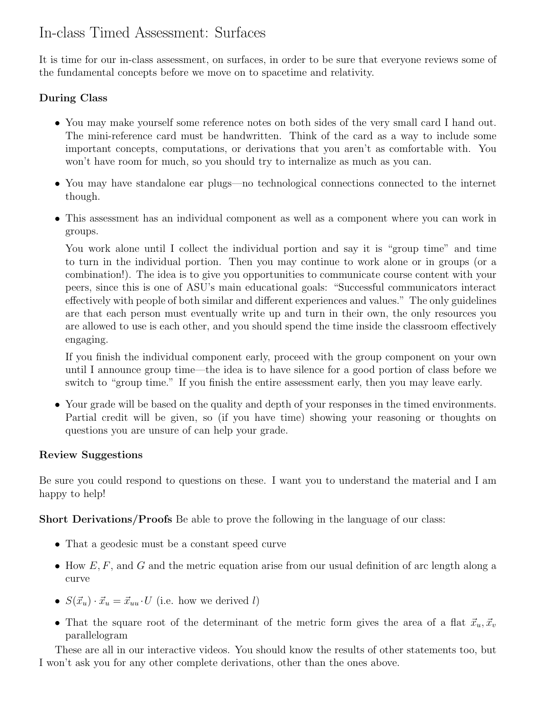# In-class Timed Assessment: Surfaces

It is time for our in-class assessment, on surfaces, in order to be sure that everyone reviews some of the fundamental concepts before we move on to spacetime and relativity.

# During Class

- You may make yourself some reference notes on both sides of the very small card I hand out. The mini-reference card must be handwritten. Think of the card as a way to include some important concepts, computations, or derivations that you aren't as comfortable with. You won't have room for much, so you should try to internalize as much as you can.
- You may have standalone ear plugs—no technological connections connected to the internet though.
- This assessment has an individual component as well as a component where you can work in groups.

You work alone until I collect the individual portion and say it is "group time" and time to turn in the individual portion. Then you may continue to work alone or in groups (or a combination!). The idea is to give you opportunities to communicate course content with your peers, since this is one of ASU's main educational goals: "Successful communicators interact effectively with people of both similar and different experiences and values." The only guidelines are that each person must eventually write up and turn in their own, the only resources you are allowed to use is each other, and you should spend the time inside the classroom effectively engaging.

If you finish the individual component early, proceed with the group component on your own until I announce group time—the idea is to have silence for a good portion of class before we switch to "group time." If you finish the entire assessment early, then you may leave early.

• Your grade will be based on the quality and depth of your responses in the timed environments. Partial credit will be given, so (if you have time) showing your reasoning or thoughts on questions you are unsure of can help your grade.

### Review Suggestions

Be sure you could respond to questions on these. I want you to understand the material and I am happy to help!

Short Derivations/Proofs Be able to prove the following in the language of our class:

- That a geodesic must be a constant speed curve
- How  $E, F$ , and G and the metric equation arise from our usual definition of arc length along a curve
- $S(\vec{x}_u) \cdot \vec{x}_u = \vec{x}_{uu} \cdot U$  (i.e. how we derived l)
- That the square root of the determinant of the metric form gives the area of a flat  $\vec{x}_u, \vec{x}_v$ parallelogram

These are all in our interactive videos. You should know the results of other statements too, but I won't ask you for any other complete derivations, other than the ones above.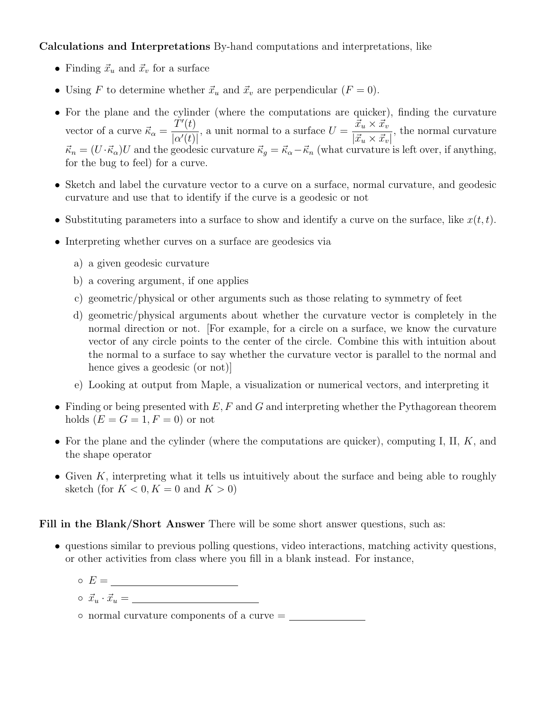Calculations and Interpretations By-hand computations and interpretations, like

- Finding  $\vec{x}_u$  and  $\vec{x}_v$  for a surface
- Using F to determine whether  $\vec{x}_u$  and  $\vec{x}_v$  are perpendicular  $(F = 0)$ .
- For the plane and the cylinder (where the computations are quicker), finding the curvature vector of a curve  $\vec{\kappa}_{\alpha} =$  $\check{T}'(t)$  $|\alpha'(t)|$ , a unit normal to a surface  $U = \frac{\vec{x}_u \times \vec{x}_v}{\vec{x}_u + \vec{x}_v}$  $|\vec{x}_u \times \vec{x}_v|$ , the normal curvature  $\vec{\kappa}_n = (U \cdot \vec{\kappa}_\alpha)U$  and the geodesic curvature  $\vec{\kappa}_g = \vec{\kappa}_\alpha - \vec{\kappa}_n$  (what curvature is left over, if anything, for the bug to feel) for a curve.
- Sketch and label the curvature vector to a curve on a surface, normal curvature, and geodesic curvature and use that to identify if the curve is a geodesic or not
- Substituting parameters into a surface to show and identify a curve on the surface, like  $x(t, t)$ .
- Interpreting whether curves on a surface are geodesics via
	- a) a given geodesic curvature
	- b) a covering argument, if one applies
	- c) geometric/physical or other arguments such as those relating to symmetry of feet
	- d) geometric/physical arguments about whether the curvature vector is completely in the normal direction or not. [For example, for a circle on a surface, we know the curvature vector of any circle points to the center of the circle. Combine this with intuition about the normal to a surface to say whether the curvature vector is parallel to the normal and hence gives a geodesic (or not)]
	- e) Looking at output from Maple, a visualization or numerical vectors, and interpreting it
- Finding or being presented with  $E, F$  and  $G$  and interpreting whether the Pythagorean theorem holds  $(E = G = 1, F = 0)$  or not
- For the plane and the cylinder (where the computations are quicker), computing I, II,  $K$ , and the shape operator
- Given  $K$ , interpreting what it tells us intuitively about the surface and being able to roughly sketch (for  $K < 0, K = 0$  and  $K > 0$ )

#### Fill in the Blank/Short Answer There will be some short answer questions, such as:

- questions similar to previous polling questions, video interactions, matching activity questions, or other activities from class where you fill in a blank instead. For instance,
	- $\circ$   $E = \_$
	- $\circ \vec{x}_u \cdot \vec{x}_u = \_$
	- normal curvature components of a curve =